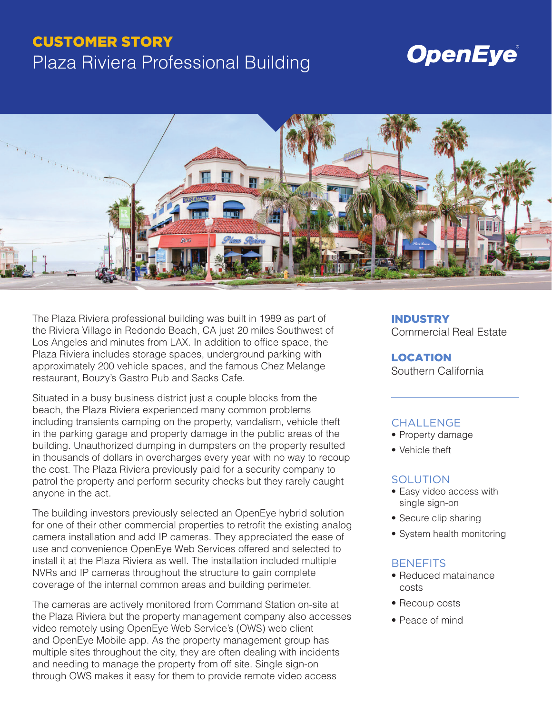### CUSTOMER STORY

## Plaza Riviera Professional Building

# **OpenEye®**



The Plaza Riviera professional building was built in 1989 as part of the Riviera Village in Redondo Beach, CA just 20 miles Southwest of Los Angeles and minutes from LAX. In addition to office space, the Plaza Riviera includes storage spaces, underground parking with approximately 200 vehicle spaces, and the famous Chez Melange restaurant, Bouzy's Gastro Pub and Sacks Cafe.

Situated in a busy business district just a couple blocks from the beach, the Plaza Riviera experienced many common problems including transients camping on the property, vandalism, vehicle theft in the parking garage and property damage in the public areas of the building. Unauthorized dumping in dumpsters on the property resulted in thousands of dollars in overcharges every year with no way to recoup the cost. The Plaza Riviera previously paid for a security company to patrol the property and perform security checks but they rarely caught anyone in the act.

The building investors previously selected an OpenEye hybrid solution for one of their other commercial properties to retrofit the existing analog camera installation and add IP cameras. They appreciated the ease of use and convenience OpenEye Web Services offered and selected to install it at the Plaza Riviera as well. The installation included multiple NVRs and IP cameras throughout the structure to gain complete coverage of the internal common areas and building perimeter.

The cameras are actively monitored from Command Station on-site at the Plaza Riviera but the property management company also accesses video remotely using OpenEye Web Service's (OWS) web client and OpenEye Mobile app. As the property management group has multiple sites throughout the city, they are often dealing with incidents and needing to manage the property from off site. Single sign-on through OWS makes it easy for them to provide remote video access

### INDUSTRY

Commercial Real Estate

#### LOCATION Southern California

#### CHALL FNGF

- Property damage
- Vehicle theft

#### **SOLUTION**

- Easy video access with single sign-on
- Secure clip sharing
- System health monitoring

#### **BENEFITS**

- Reduced matainance costs
- Recoup costs
- Peace of mind